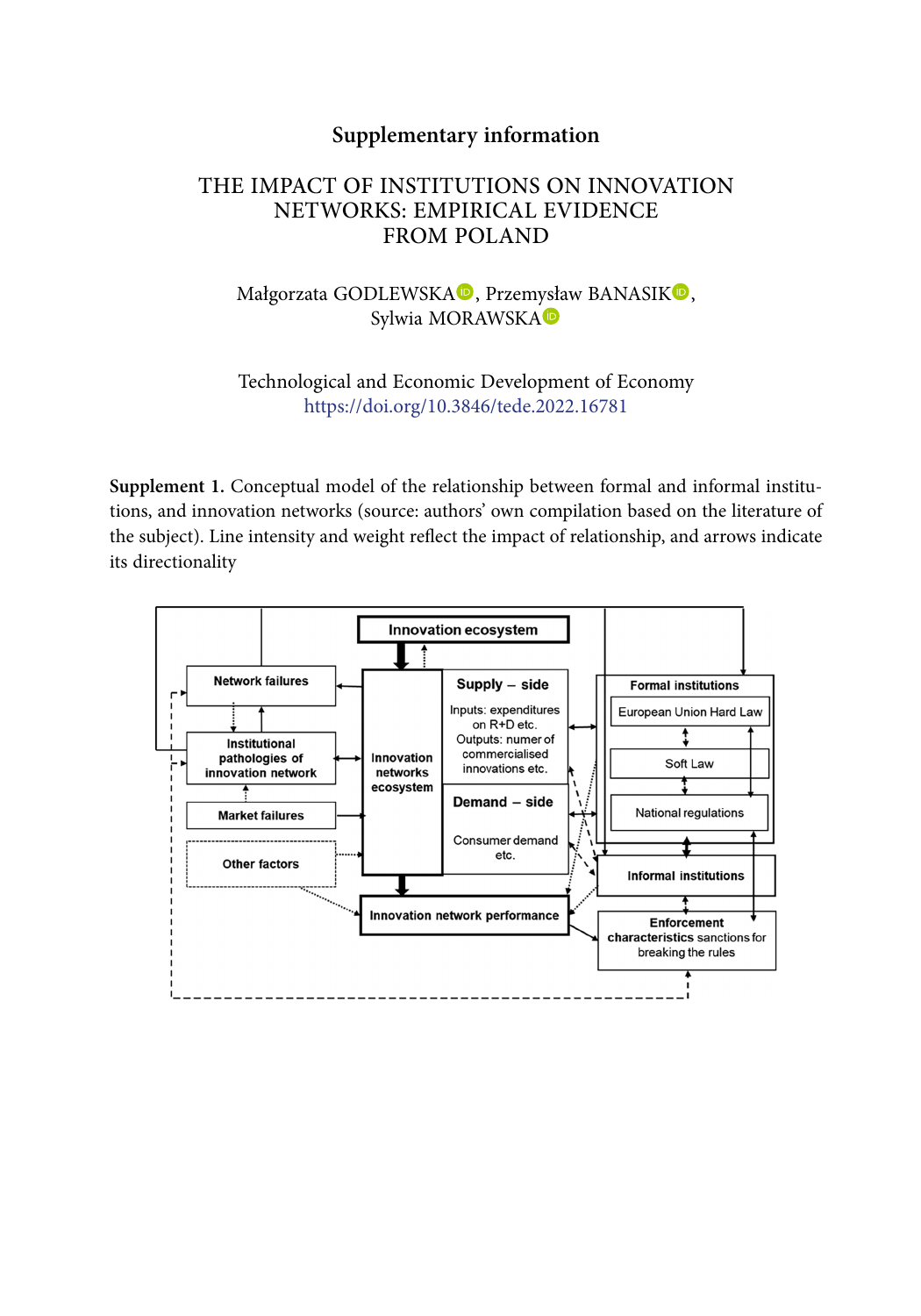### **Supplementary information**

# THE IMPACT OF INSTITUTIONS ON INNOVATION NETWORKS: EMPIRICAL EVIDENCE FROM POLAND

### Małgorzata GODLEWSKA<sup>D</sup>[,](https://orcid.org/0000-0001-7413-0674) Przem[ysła](https://orcid.org/0000-0001-6708-338X)w BANASI[K](https://orcid.org/0000-0002-9231-6066)<sup>D</sup>, Sylwia MORAWSKA

#### Technological and Economic Development of Economy <https://doi.org/10.3846/tede.2022.16781>

**Supplement 1.** Conceptual model of the relationship between formal and informal institutions, and innovation networks (source: authors' own compilation based on the literature of the subject). Line intensity and weight reflect the impact of relationship, and arrows indicate its directionality

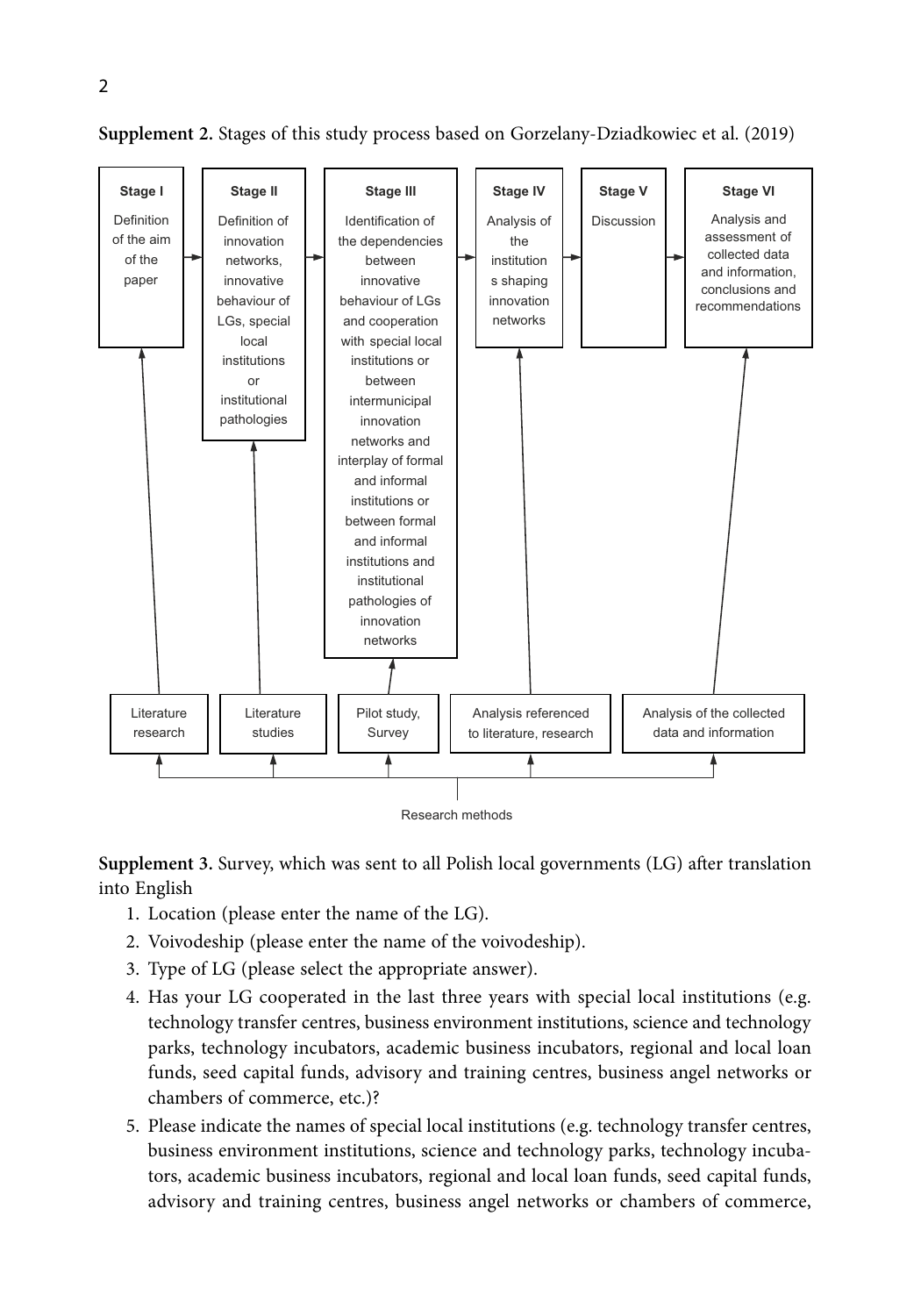

**Supplement 2.** Stages of this study process based on Gorzelany-Dziadkowiec et al. (2019)

**Supplement 3.** Survey, which was sent to all Polish local governments (LG) after translation into English

- 1. Location (please enter the name of the LG).
- 2. Voivodeship (please enter the name of the voivodeship).
- 3. Type of LG (please select the appropriate answer).
- 4. Has your LG cooperated in the last three years with special local institutions (e.g. technology transfer centres, business environment institutions, science and technology parks, technology incubators, academic business incubators, regional and local loan funds, seed capital funds, advisory and training centres, business angel networks or chambers of commerce, etc.)?
- 5. Please indicate the names of special local institutions (e.g. technology transfer centres, business environment institutions, science and technology parks, technology incubators, academic business incubators, regional and local loan funds, seed capital funds, advisory and training centres, business angel networks or chambers of commerce,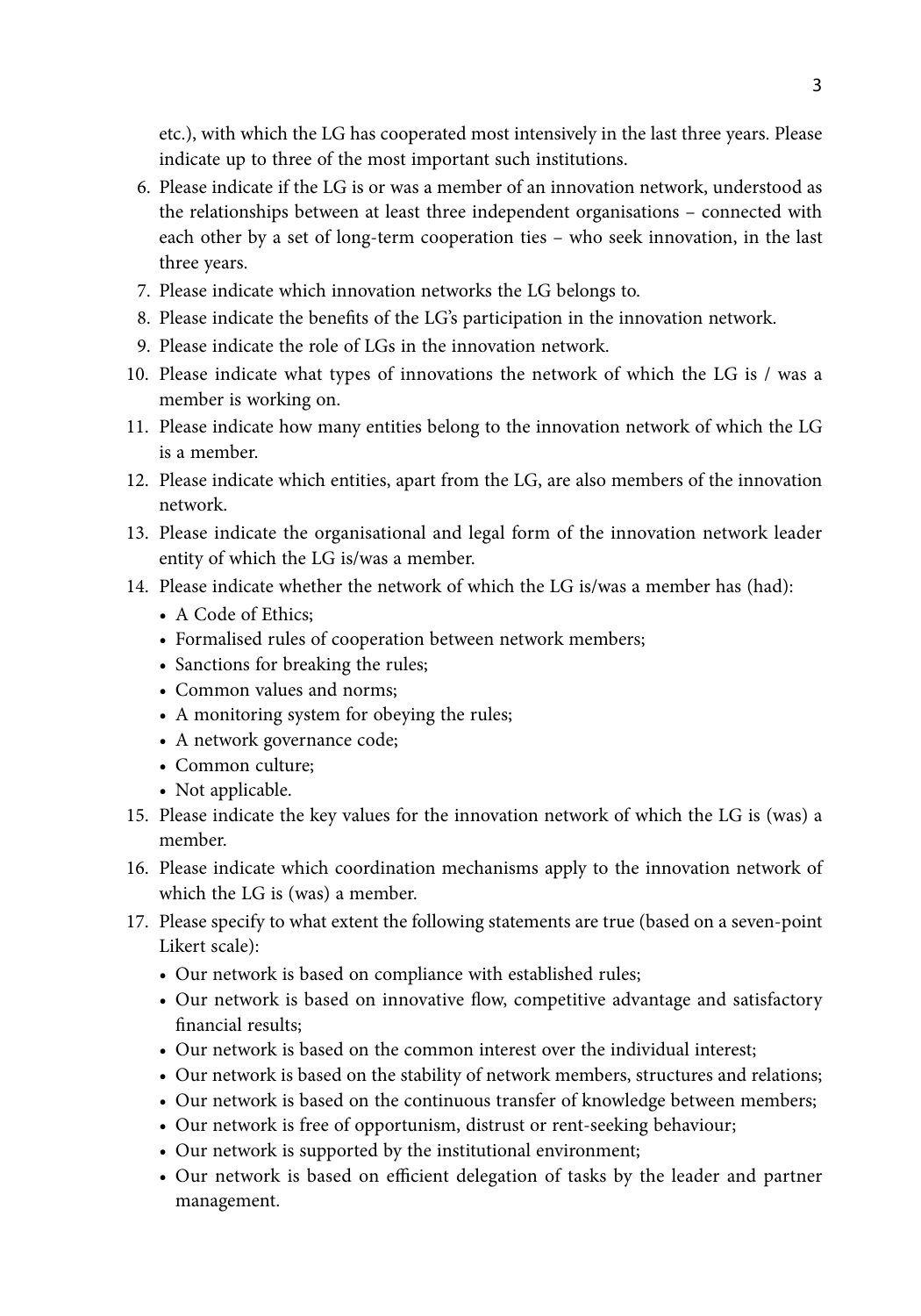etc.), with which the LG has cooperated most intensively in the last three years. Please indicate up to three of the most important such institutions.

- 6. Please indicate if the LG is or was a member of an innovation network, understood as the relationships between at least three independent organisations – connected with each other by a set of long-term cooperation ties – who seek innovation, in the last three years.
- 7. Please indicate which innovation networks the LG belongs to.
- 8. Please indicate the benefits of the LG's participation in the innovation network.
- 9. Please indicate the role of LGs in the innovation network.
- 10. Please indicate what types of innovations the network of which the LG is / was a member is working on.
- 11. Please indicate how many entities belong to the innovation network of which the LG is a member.
- 12. Please indicate which entities, apart from the LG, are also members of the innovation network.
- 13. Please indicate the organisational and legal form of the innovation network leader entity of which the LG is/was a member.
- 14. Please indicate whether the network of which the LG is/was a member has (had):
	- A Code of Ethics:
	- Formalised rules of cooperation between network members;
	- Sanctions for breaking the rules;
	- Common values and norms;
	- A monitoring system for obeying the rules;
	- A network governance code;
	- Common culture;
	- Not applicable.
- 15. Please indicate the key values for the innovation network of which the LG is (was) a member.
- 16. Please indicate which coordination mechanisms apply to the innovation network of which the LG is (was) a member.
- 17. Please specify to what extent the following statements are true (based on a seven-point Likert scale):
	- Our network is based on compliance with established rules;
	- Our network is based on innovative flow, competitive advantage and satisfactory financial results;
	- Our network is based on the common interest over the individual interest;
	- Our network is based on the stability of network members, structures and relations;
	- Our network is based on the continuous transfer of knowledge between members;
	- Our network is free of opportunism, distrust or rent-seeking behaviour;
	- Our network is supported by the institutional environment;
	- Our network is based on efficient delegation of tasks by the leader and partner management.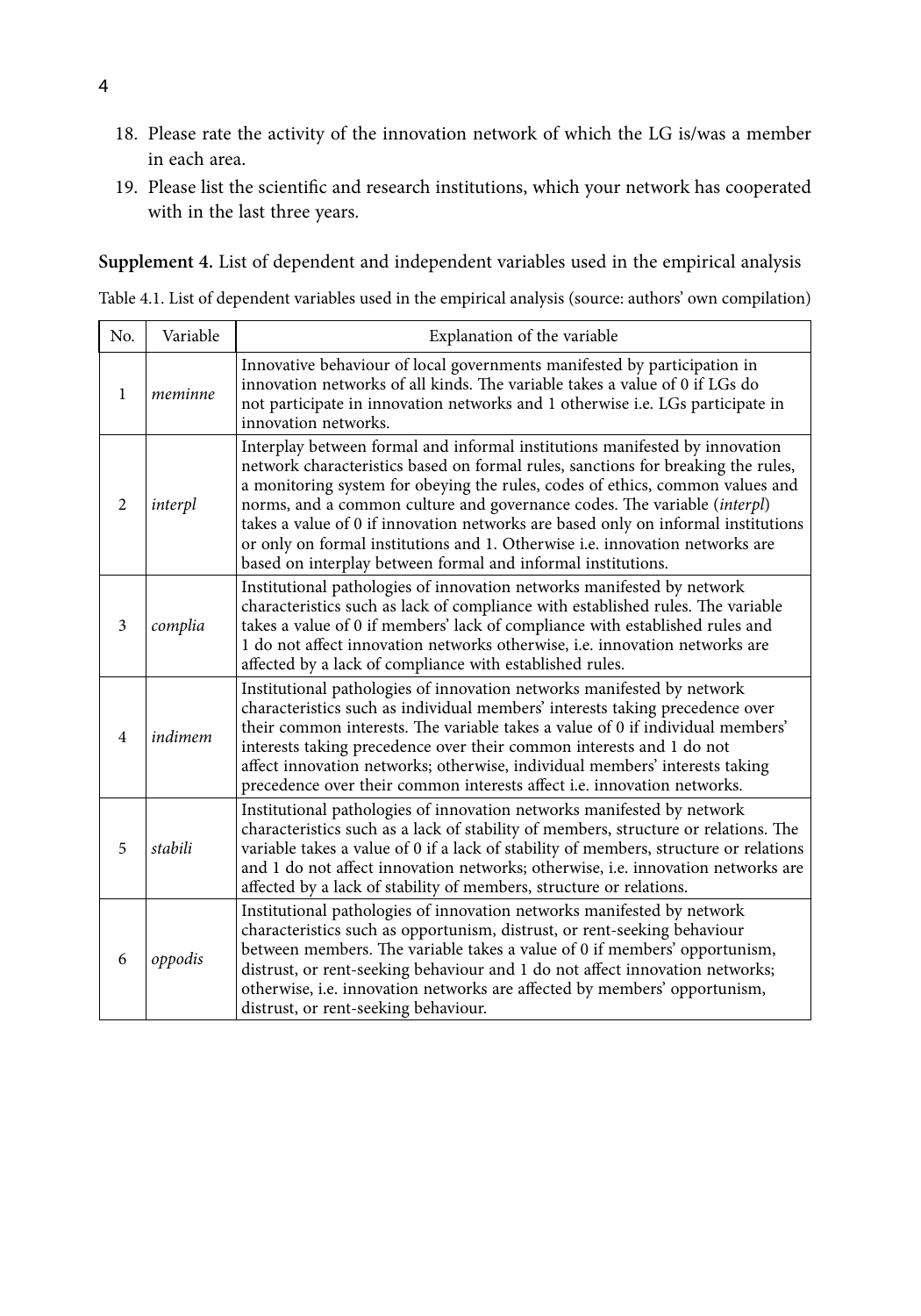- 18. Please rate the activity of the innovation network of which the LG is/was a member in each area.
- 19. Please list the scientific and research institutions, which your network has cooperated with in the last three years.

**Supplement 4.** List of dependent and independent variables used in the empirical analysis Table 4.1. List of dependent variables used in the empirical analysis (source: authors' own compilation)

| No.            | Variable | Explanation of the variable                                                                                                                                                                                                                                                                                                                                                                                                                                                                                                                                       |
|----------------|----------|-------------------------------------------------------------------------------------------------------------------------------------------------------------------------------------------------------------------------------------------------------------------------------------------------------------------------------------------------------------------------------------------------------------------------------------------------------------------------------------------------------------------------------------------------------------------|
| 1              | meminne  | Innovative behaviour of local governments manifested by participation in<br>innovation networks of all kinds. The variable takes a value of 0 if LGs do<br>not participate in innovation networks and 1 otherwise i.e. LGs participate in<br>innovation networks.                                                                                                                                                                                                                                                                                                 |
| 2              | interpl  | Interplay between formal and informal institutions manifested by innovation<br>network characteristics based on formal rules, sanctions for breaking the rules,<br>a monitoring system for obeying the rules, codes of ethics, common values and<br>norms, and a common culture and governance codes. The variable (interpl)<br>takes a value of 0 if innovation networks are based only on informal institutions<br>or only on formal institutions and 1. Otherwise i.e. innovation networks are<br>based on interplay between formal and informal institutions. |
| 3              | complia  | Institutional pathologies of innovation networks manifested by network<br>characteristics such as lack of compliance with established rules. The variable<br>takes a value of 0 if members' lack of compliance with established rules and<br>1 do not affect innovation networks otherwise, <i>i.e.</i> innovation networks are<br>affected by a lack of compliance with established rules.                                                                                                                                                                       |
| $\overline{4}$ | indimem  | Institutional pathologies of innovation networks manifested by network<br>characteristics such as individual members' interests taking precedence over<br>their common interests. The variable takes a value of 0 if individual members'<br>interests taking precedence over their common interests and 1 do not<br>affect innovation networks; otherwise, individual members' interests taking<br>precedence over their common interests affect i.e. innovation networks.                                                                                        |
| 5              | stabili  | Institutional pathologies of innovation networks manifested by network<br>characteristics such as a lack of stability of members, structure or relations. The<br>variable takes a value of 0 if a lack of stability of members, structure or relations<br>and 1 do not affect innovation networks; otherwise, i.e. innovation networks are<br>affected by a lack of stability of members, structure or relations.                                                                                                                                                 |
| 6              | oppodis  | Institutional pathologies of innovation networks manifested by network<br>characteristics such as opportunism, distrust, or rent-seeking behaviour<br>between members. The variable takes a value of 0 if members' opportunism,<br>distrust, or rent-seeking behaviour and 1 do not affect innovation networks;<br>otherwise, i.e. innovation networks are affected by members' opportunism,<br>distrust, or rent-seeking behaviour.                                                                                                                              |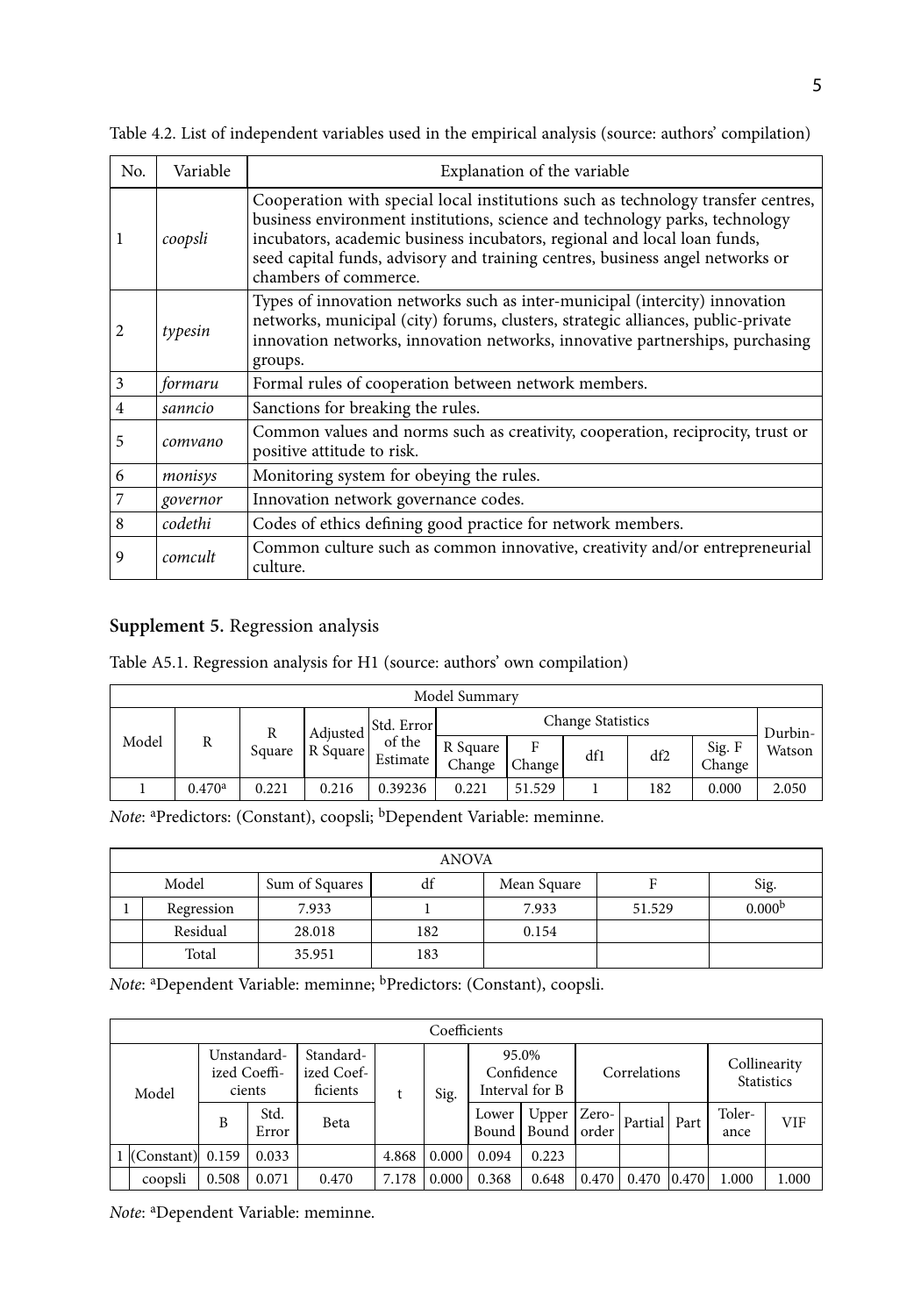| No. | Variable | Explanation of the variable                                                                                                                                                                                                                                                                                                                           |
|-----|----------|-------------------------------------------------------------------------------------------------------------------------------------------------------------------------------------------------------------------------------------------------------------------------------------------------------------------------------------------------------|
| 1   | coopsli  | Cooperation with special local institutions such as technology transfer centres,<br>business environment institutions, science and technology parks, technology<br>incubators, academic business incubators, regional and local loan funds,<br>seed capital funds, advisory and training centres, business angel networks or<br>chambers of commerce. |
| 2   | typesin  | Types of innovation networks such as inter-municipal (intercity) innovation<br>networks, municipal (city) forums, clusters, strategic alliances, public-private<br>innovation networks, innovation networks, innovative partnerships, purchasing<br>groups.                                                                                           |
| 3   | formaru  | Formal rules of cooperation between network members.                                                                                                                                                                                                                                                                                                  |
| 4   | sanncio  | Sanctions for breaking the rules.                                                                                                                                                                                                                                                                                                                     |
| 5   | comvano  | Common values and norms such as creativity, cooperation, reciprocity, trust or<br>positive attitude to risk.                                                                                                                                                                                                                                          |
| 6   | monisys  | Monitoring system for obeying the rules.                                                                                                                                                                                                                                                                                                              |
| 7   | governor | Innovation network governance codes.                                                                                                                                                                                                                                                                                                                  |
| 8   | codethi  | Codes of ethics defining good practice for network members.                                                                                                                                                                                                                                                                                           |
| 9   | comcult  | Common culture such as common innovative, creativity and/or entrepreneurial<br>culture.                                                                                                                                                                                                                                                               |

Table 4.2. List of independent variables used in the empirical analysis (source: authors' compilation)

#### **Supplement 5.** Regression analysis

Table A5.1. Regression analysis for H1 (source: authors' own compilation)

| Model Summary |                    |        |          |                    |                    |             |                          |     |                  |         |  |
|---------------|--------------------|--------|----------|--------------------|--------------------|-------------|--------------------------|-----|------------------|---------|--|
|               | R                  | Square | Adjusted | Std. Error         |                    |             | <b>Change Statistics</b> |     |                  | Durbin- |  |
| Model         |                    |        | R Square | of the<br>Estimate | R Square<br>Change | F<br>Change | df1                      | df2 | Sig. F<br>Change | Watson  |  |
|               | 0.470 <sup>a</sup> | 0.221  | 0.216    | 0.39236            | 0.221              | 51.529      |                          | 182 | 0.000            | 2.050   |  |

Note: <sup>a</sup>Predictors: (Constant), coopsli; <sup>b</sup>Dependent Variable: meminne.

|                                                      | ANOVA    |        |     |       |        |                    |  |  |  |  |  |  |
|------------------------------------------------------|----------|--------|-----|-------|--------|--------------------|--|--|--|--|--|--|
| Model<br>df<br>Sum of Squares<br>Sig.<br>Mean Square |          |        |     |       |        |                    |  |  |  |  |  |  |
| Regression                                           |          | 7.933  |     | 7.933 | 51.529 | 0.000 <sup>b</sup> |  |  |  |  |  |  |
|                                                      | Residual | 28.018 | 182 | 0.154 |        |                    |  |  |  |  |  |  |
|                                                      | Total    | 35.951 | 183 |       |        |                    |  |  |  |  |  |  |

Note: <sup>a</sup>Dependent Variable: meminne; <sup>b</sup>Predictors: (Constant), coopsli.

| Coefficients         |                                       |               |                                     |       |       |       |                                       |       |              |       |                                   |       |
|----------------------|---------------------------------------|---------------|-------------------------------------|-------|-------|-------|---------------------------------------|-------|--------------|-------|-----------------------------------|-------|
| Model                | Unstandard-<br>ized Coeffi-<br>cients |               | Standard-<br>ized Coef-<br>ficients |       | Sig.  |       | 95.0%<br>Confidence<br>Interval for B |       | Correlations |       | Collinearity<br><b>Statistics</b> |       |
|                      | B                                     | Std.<br>Error | Beta                                |       |       | Lower | Upper<br>Bound   Bound   order        | Zero- | Partial Part |       | Toler-<br>ance                    | VIF   |
| $1$ (Constant) 0.159 |                                       | 0.033         |                                     | 4.868 | 0.000 | 0.094 | 0.223                                 |       |              |       |                                   |       |
| coopsli              | 0.508                                 | 0.071         | 0.470                               | 7.178 | 0.000 | 0.368 | 0.648                                 | 0.470 | 0.470        | 0.470 | 1.000                             | 1.000 |

*Note*: <sup>a</sup> Dependent Variable: meminne.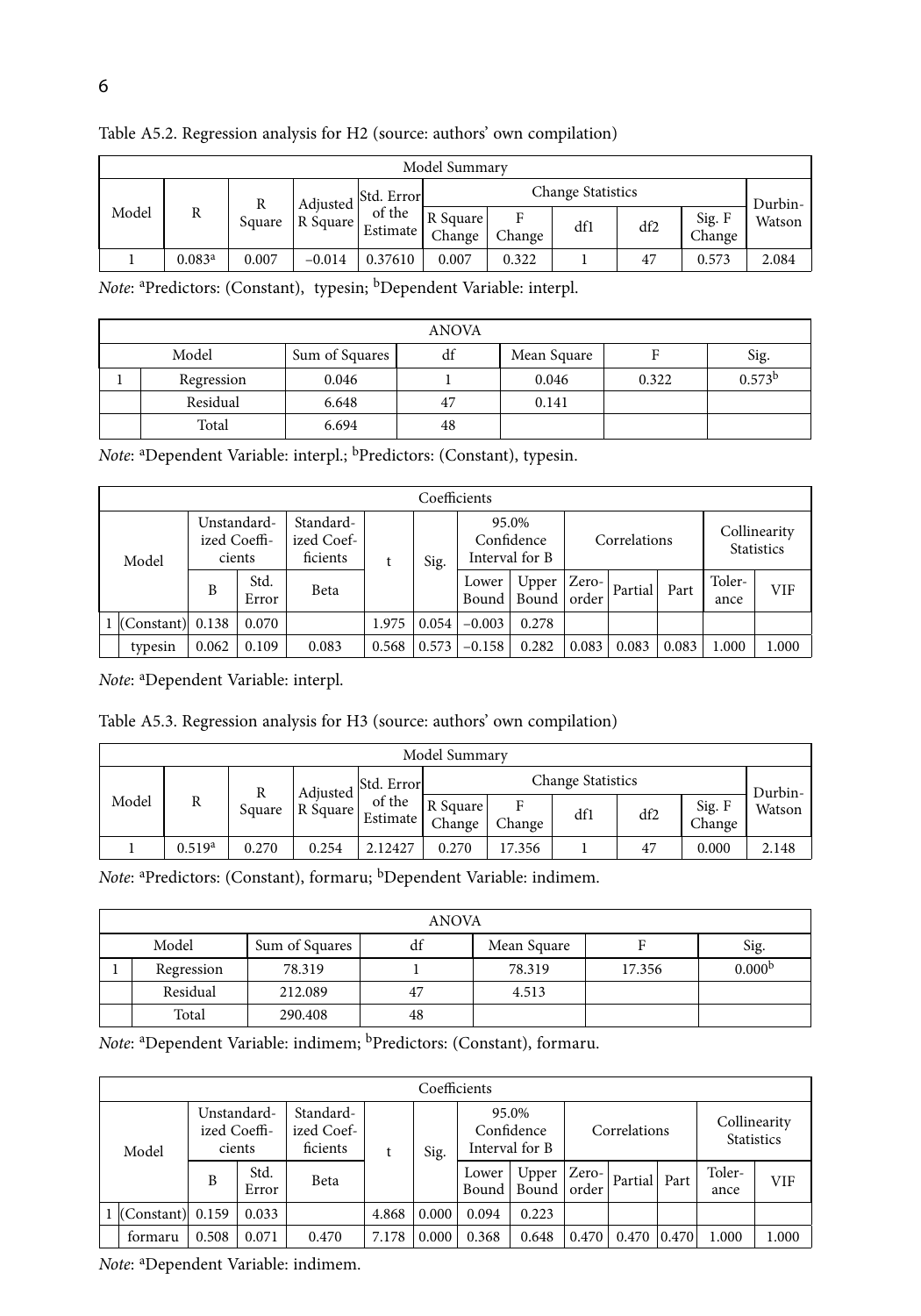|       | Model Summary      |        |          |                                        |                    |             |     |     |                  |         |  |  |
|-------|--------------------|--------|----------|----------------------------------------|--------------------|-------------|-----|-----|------------------|---------|--|--|
|       | R                  |        | Adjusted | <b>Change Statistics</b><br>Std. Error |                    |             |     |     |                  | Durbin- |  |  |
| Model |                    | Square | R Square | of the<br>Estimate                     | R Square<br>Change | F<br>Change | df1 | df2 | Sig. F<br>Change | Watson  |  |  |
|       | 0.083 <sup>a</sup> | 0.007  | $-0.014$ | 0.37610                                | 0.007              | 0.322       |     | 47  | 0.573            | 2.084   |  |  |

Table A5.2. Regression analysis for H2 (source: authors' own compilation)

Note: <sup>a</sup>Predictors: (Constant), typesin; <sup>b</sup>Dependent Variable: interpl.

| ANOVA      |                |    |             |       |                    |  |  |  |  |  |  |
|------------|----------------|----|-------------|-------|--------------------|--|--|--|--|--|--|
| Model      | Sum of Squares | df | Mean Square |       | Sig.               |  |  |  |  |  |  |
| Regression | 0.046          |    | 0.046       | 0.322 | 0.573 <sup>b</sup> |  |  |  |  |  |  |
| Residual   | 6.648          | 47 | 0.141       |       |                    |  |  |  |  |  |  |
| Total      | 6.694          | 48 |             |       |                    |  |  |  |  |  |  |

Note: <sup>a</sup>Dependent Variable: interpl.; <sup>b</sup>Predictors: (Constant), typesin.

|  | Coefficients         |                                       |               |                                     |       |       |                                       |                                |              |         |       |                                   |       |
|--|----------------------|---------------------------------------|---------------|-------------------------------------|-------|-------|---------------------------------------|--------------------------------|--------------|---------|-------|-----------------------------------|-------|
|  | Model                | Unstandard-<br>ized Coeffi-<br>cients |               | Standard-<br>ized Coef-<br>ficients |       | Sig.  | 95.0%<br>Confidence<br>Interval for B |                                | Correlations |         |       | Collinearity<br><b>Statistics</b> |       |
|  |                      | B                                     | Std.<br>Error | Beta                                |       |       | Lower                                 | Upper<br>Bound   Bound   order | Zero-        | Partial | Part  | Toler-<br>ance                    | VIF   |
|  | $1$ (Constant) 0.138 |                                       | 0.070         |                                     | 1.975 | 0.054 | $-0.003$                              | 0.278                          |              |         |       |                                   |       |
|  | typesin              | 0.062                                 | 0.109         | 0.083                               | 0.568 | 0.573 | $-0.158$                              | 0.282                          | 0.083        | 0.083   | 0.083 | 1.000                             | 1.000 |

*Note*: <sup>a</sup> Dependent Variable: interpl.

Table A5.3. Regression analysis for H3 (source: authors' own compilation)

| Model Summary |                    |        |          |                                        |                    |             |     |     |                  |        |  |
|---------------|--------------------|--------|----------|----------------------------------------|--------------------|-------------|-----|-----|------------------|--------|--|
|               | R                  | Square | Adiusted | <b>Change Statistics</b><br>Std. Error |                    |             |     |     | Durbin-          |        |  |
| Model         |                    |        | R Square | of the<br><b>Estimate</b>              | R Square<br>Change | F<br>Change | df1 | df2 | Sig. F<br>Change | Watson |  |
|               | 0.519 <sup>a</sup> | 0.270  | 0.254    | 2.12427                                | 0.270              | 17.356      |     | 47  | 0.000            | 2.148  |  |

Note: <sup>a</sup>Predictors: (Constant), formaru; <sup>b</sup>Dependent Variable: indimem.

|            | ANOVA                                          |         |    |        |        |                    |  |  |  |  |  |  |
|------------|------------------------------------------------|---------|----|--------|--------|--------------------|--|--|--|--|--|--|
|            | Model<br>Sum of Squares<br>Sig.<br>Mean Square |         |    |        |        |                    |  |  |  |  |  |  |
| Regression |                                                | 78.319  |    | 78.319 | 17.356 | 0.000 <sup>b</sup> |  |  |  |  |  |  |
|            | Residual                                       | 212.089 | 47 | 4.513  |        |                    |  |  |  |  |  |  |
|            | Total                                          | 290.408 | 48 |        |        |                    |  |  |  |  |  |  |

*Note*: <sup>a</sup> Dependent Variable: indimem; bPredictors: (Constant), formaru.

| Coefficients             |                                       |               |                                     |       |       |       |                                       |       |                                                                                                          |                 |                |                                   |  |
|--------------------------|---------------------------------------|---------------|-------------------------------------|-------|-------|-------|---------------------------------------|-------|----------------------------------------------------------------------------------------------------------|-----------------|----------------|-----------------------------------|--|
| Model                    | Unstandard-<br>ized Coeffi-<br>cients |               | Standard-<br>ized Coef-<br>ficients | t     | Sig.  |       | 95.0%<br>Confidence<br>Interval for B |       | Correlations                                                                                             |                 |                | Collinearity<br><b>Statistics</b> |  |
|                          | B                                     | Std.<br>Error | Beta                                |       |       | Lower | Upper<br>Bound   Bound   order        |       | $\lceil \frac{\text{Zero-}}{\text{Partial}} \rceil$ Part $\lceil \frac{\text{Part}}{\text{Part}} \rceil$ |                 | Toler-<br>ance | VIF                               |  |
| $ $ (Constant) $ $ 0.159 |                                       | 0.033         |                                     | 4.868 | 0.000 | 0.094 | 0.223                                 |       |                                                                                                          |                 |                |                                   |  |
| formaru                  | 0.508                                 | 0.071         | 0.470                               | 7.178 | 0.000 | 0.368 | 0.648                                 | 0.470 | 0.470                                                                                                    | $ 0.470\rangle$ | 1.000          | 1.000                             |  |

*Note*: <sup>a</sup> Dependent Variable: indimem.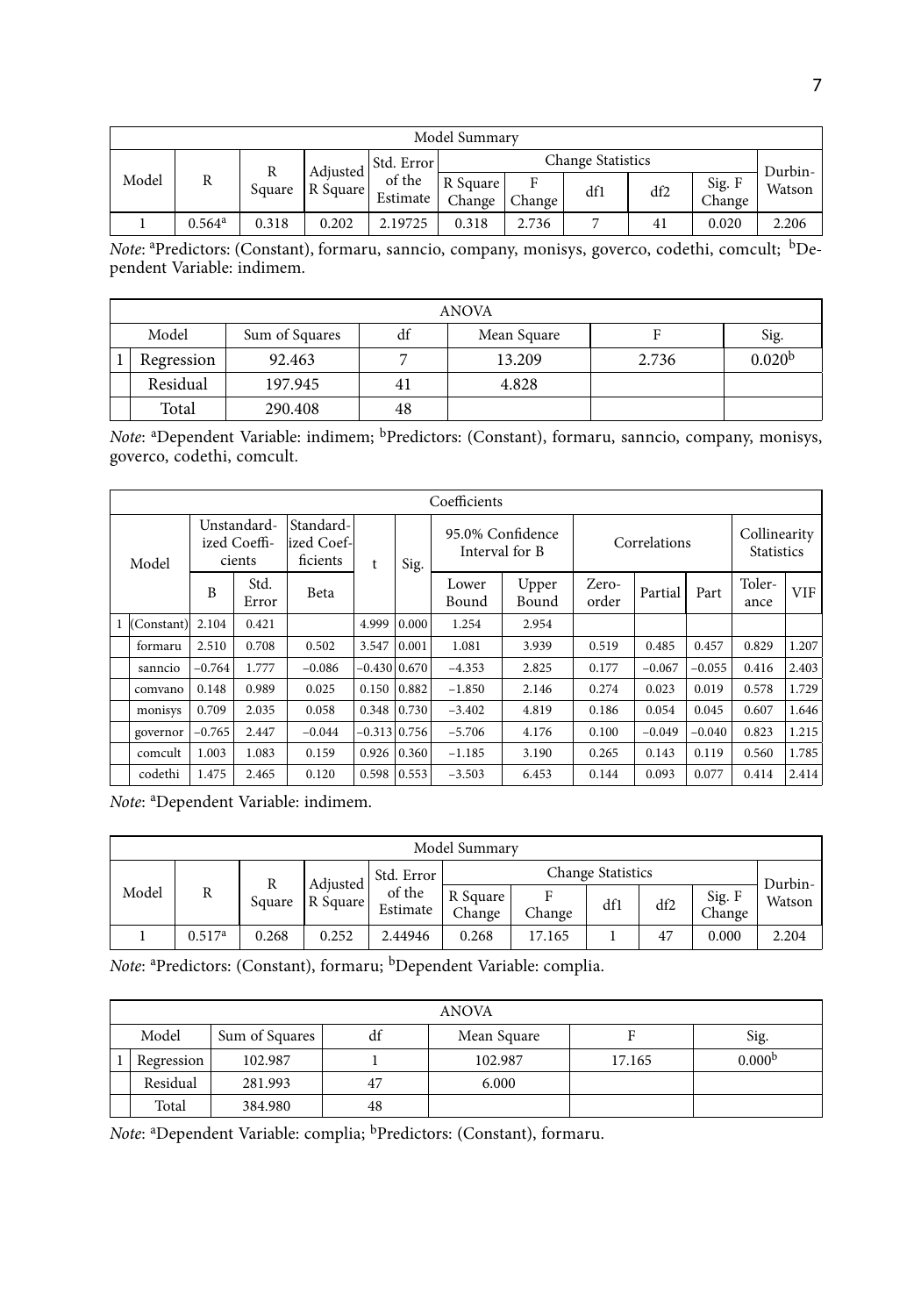| Model Summary |                      |             |                                                    |                    |                    |             |     |     |                  |        |  |
|---------------|----------------------|-------------|----------------------------------------------------|--------------------|--------------------|-------------|-----|-----|------------------|--------|--|
|               | R                    | R<br>Square | <b>Change Statistics</b><br>Std. Error<br>Adiusted |                    |                    |             |     |     | Durbin-          |        |  |
| Model         |                      |             | R Square                                           | of the<br>Estimate | R Square<br>Change | F<br>Change | df1 | df2 | Sig. F<br>Change | Watson |  |
|               | $0.564$ <sup>a</sup> | 0.318       | 0.202                                              | 2.19725            | 0.318              | 2.736       |     | 41  | 0.020            | 2.206  |  |

*Note*: <sup>a</sup> Predictors: (Constant), formaru, sanncio, company, monisys, goverco, codethi, comcult; bDependent Variable: indimem.

|            |                |    | ANOVA       |       |                    |
|------------|----------------|----|-------------|-------|--------------------|
| Model      | Sum of Squares | df | Mean Square |       | Sig.               |
| Regression | 92.463         |    | 13.209      | 2.736 | 0.020 <sup>b</sup> |
| Residual   | 197.945        | 41 | 4.828       |       |                    |
| Total      | 290.408        | 48 |             |       |                    |

*Note*: <sup>a</sup> Dependent Variable: indimem; bPredictors: (Constant), formaru, sanncio, company, monisys, goverco, codethi, comcult.

|              |          |                                       |                                      |                |       | Coefficients   |                                           |       |              |          |                                   |            |
|--------------|----------|---------------------------------------|--------------------------------------|----------------|-------|----------------|-------------------------------------------|-------|--------------|----------|-----------------------------------|------------|
| Model        |          | Unstandard-<br>ized Coeffi-<br>cients | Standard-<br>lized Coef-<br>ficients | t              | Sig.  |                | 95.0% Confidence<br>Interval for B        |       | Correlations |          | Collinearity<br><b>Statistics</b> |            |
|              | B        | Std.<br>Error                         | Beta                                 |                |       | Lower<br>Bound | Zero-<br>Upper<br>Bound<br>order<br>2.954 |       | Partial      | Part     | Toler-<br>ance                    | <b>VIF</b> |
| 1 (Constant) | 2.104    | 0.421                                 |                                      | 4.999          | 0.000 | 1.254          |                                           |       |              |          |                                   |            |
| formaru      | 2.510    | 0.708                                 | 0.502                                | 3.547          | 0.001 | 1.081          | 3.939                                     | 0.519 | 0.485        | 0.457    | 0.829                             | 1.207      |
| sanncio      | $-0.764$ | 1.777                                 | $-0.086$                             | $-0.430 0.670$ |       | $-4.353$       | 2.825                                     | 0.177 | $-0.067$     | $-0.055$ | 0.416                             | 2.403      |
| comvano      | 0.148    | 0.989                                 | 0.025                                | 0.150          | 0.882 | $-1.850$       | 2.146                                     | 0.274 | 0.023        | 0.019    | 0.578                             | 1.729      |
| monisys      | 0.709    | 2.035                                 | 0.058                                | $0.348$ 0.730  |       | $-3.402$       | 4.819                                     | 0.186 | 0.054        | 0.045    | 0.607                             | 1.646      |
| governor     | $-0.765$ | 2.447                                 | $-0.044$                             | $-0.313$ 0.756 |       | $-5.706$       | 4.176                                     | 0.100 | $-0.049$     | $-0.040$ | 0.823                             | 1.215      |
| comcult      | 1.003    | 1.083                                 | 0.159                                | 0.926          | 0.360 | $-1.185$       | 3.190                                     | 0.265 | 0.143        | 0.119    | 0.560                             | 1.785      |
| codethi      | 1.475    | 2.465                                 | 0.120                                | $0.598$ 0.553  |       | $-3.503$       | 6.453                                     | 0.144 | 0.093        | 0.077    | 0.414                             | 2.414      |

*Note*: <sup>a</sup> Dependent Variable: indimem.

|       |                    |        |          |                    | Model Summary      |        |                          |     |                  |         |
|-------|--------------------|--------|----------|--------------------|--------------------|--------|--------------------------|-----|------------------|---------|
|       |                    | R      | Adiusted | Std. Error         |                    |        | <b>Change Statistics</b> |     |                  | Durbin- |
| Model | R                  | Square | R Square | of the<br>Estimate | R Square<br>Change | Change | df1                      | df2 | Sig. F<br>Change | Watson  |
|       | 0.517 <sup>a</sup> | 0.268  | 0.252    | 2.44946            | 0.268              | 17.165 |                          | 47  | 0.000            | 2.204   |

*Note*: <sup>a</sup> Predictors: (Constant), formaru; bDependent Variable: complia.

|            |                |    | ANOVA       |        |                    |
|------------|----------------|----|-------------|--------|--------------------|
| Model      | Sum of Squares | df | Mean Square |        | Sig.               |
| Regression | 102.987        |    | 102.987     | 17.165 | 0.000 <sup>b</sup> |
| Residual   | 281.993        | 47 | 6.000       |        |                    |
| Total      | 384.980        | 48 |             |        |                    |

Note: <sup>a</sup>Dependent Variable: complia; <sup>b</sup>Predictors: (Constant), formaru.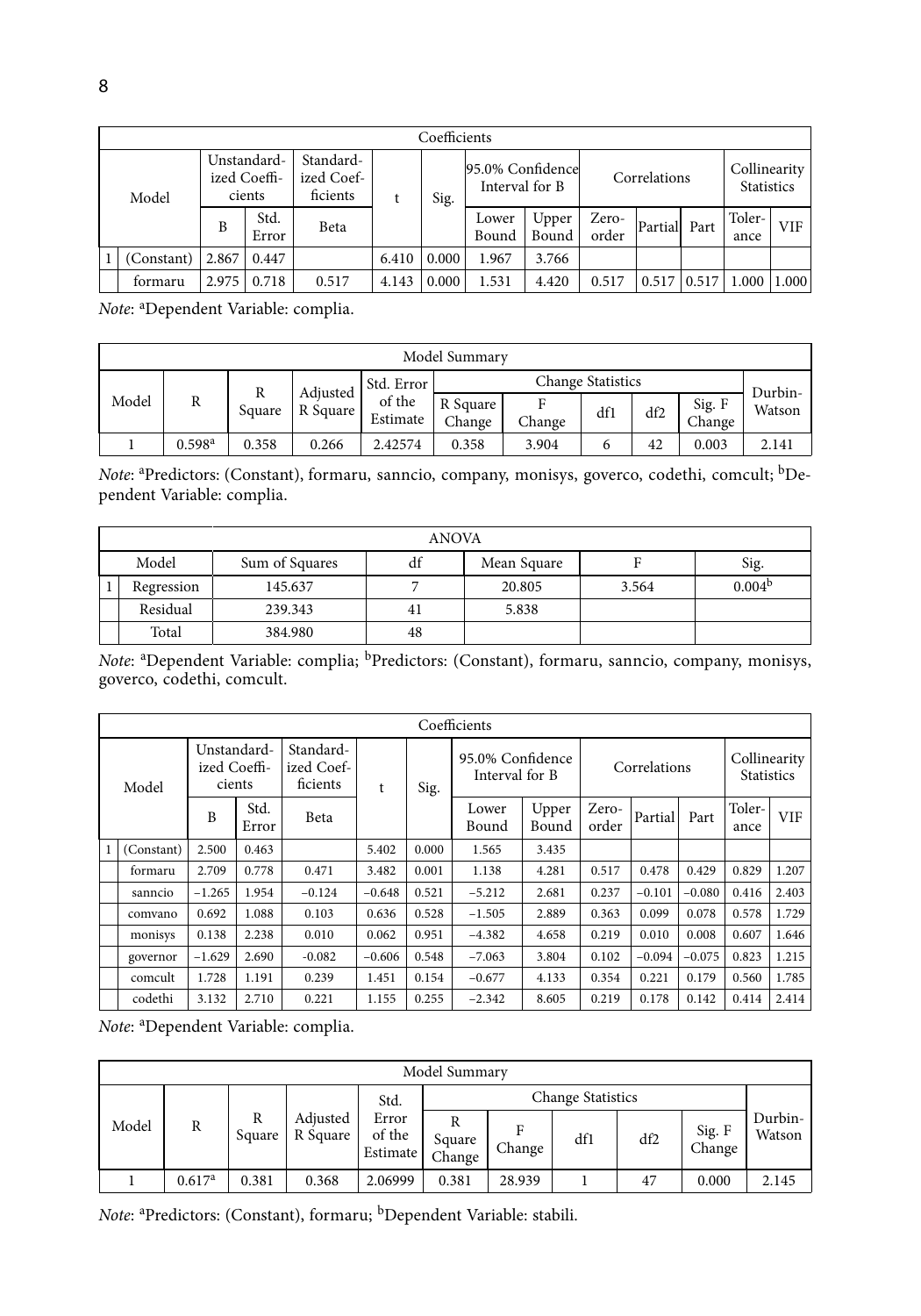|            |       |                                       |                                     |       | Coefficients |                                    |                |                |               |       |                                   |       |
|------------|-------|---------------------------------------|-------------------------------------|-------|--------------|------------------------------------|----------------|----------------|---------------|-------|-----------------------------------|-------|
| Model      |       | Unstandard-<br>ized Coeffi-<br>cients | Standard-<br>ized Coef-<br>ficients | t     | Sig.         | 95.0% Confidence<br>Interval for B |                |                | Correlations  |       | Collinearity<br><b>Statistics</b> |       |
|            | B     | Std.<br>Error                         | Beta                                |       |              | Lower<br>Bound                     | Upper<br>Bound | Zero-<br>order | Partiall Part |       | Toler-<br>ance                    | VIF.  |
| (Constant) | 2.867 | 0.447                                 |                                     | 6.410 | 0.000        | 1.967                              | 3.766          |                |               |       |                                   |       |
| formaru    | 2.975 | 0.718                                 | 0.517                               | 4.143 | 0.000        | 1.531                              | 4.420          | 0.517          | 0.517         | 0.517 | 1.000                             | 1.000 |

*Note*: <sup>a</sup> Dependent Variable: complia.

|       |                    |        |          |                    | Model Summary      |             |                          |     |                  |         |
|-------|--------------------|--------|----------|--------------------|--------------------|-------------|--------------------------|-----|------------------|---------|
|       |                    |        | Adjusted | Std. Error         |                    |             | <b>Change Statistics</b> |     |                  | Durbin- |
| Model | R                  | Square | R Square | of the<br>Estimate | R Square<br>Change | F<br>Change | df1                      | df2 | Sig. F<br>Change | Watson  |
|       | 0.598 <sup>a</sup> | 0.358  | 0.266    | 2.42574            | 0.358              | 3.904       |                          | 42  | 0.003            | 2.141   |

*Note*: <sup>a</sup> Predictors: (Constant), formaru, sanncio, company, monisys, goverco, codethi, comcult; bDependent Variable: complia.

|                                                      |         | ANOVA |        |       |                    |  |  |  |  |  |  |
|------------------------------------------------------|---------|-------|--------|-------|--------------------|--|--|--|--|--|--|
| Model<br>df<br>Sum of Squares<br>Sig.<br>Mean Square |         |       |        |       |                    |  |  |  |  |  |  |
| Regression                                           | 145.637 |       | 20.805 | 3.564 | 0.004 <sup>b</sup> |  |  |  |  |  |  |
| Residual                                             | 239.343 | 41    | 5.838  |       |                    |  |  |  |  |  |  |
| Total                                                | 384.980 | 48    |        |       |                    |  |  |  |  |  |  |

*Note*: <sup>a</sup>Dependent Variable: complia; <sup>b</sup>Predictors: (Constant), formaru, sanncio, company, monisys, goverco, codethi, comcult.

|              |            |                                       |               |                                     |          |       | Coefficients                       |                |                |              |          |                                   |            |
|--------------|------------|---------------------------------------|---------------|-------------------------------------|----------|-------|------------------------------------|----------------|----------------|--------------|----------|-----------------------------------|------------|
|              | Model      | Unstandard-<br>ized Coeffi-<br>cients |               | Standard-<br>ized Coef-<br>ficients | t        | Sig.  | 95.0% Confidence<br>Interval for B |                |                | Correlations |          | Collinearity<br><b>Statistics</b> |            |
|              |            | B                                     | Std.<br>Error | Beta                                |          |       | Lower<br>Bound                     | Upper<br>Bound | Zero-<br>order | Partial      | Part     | Toler-<br>ance                    | <b>VIF</b> |
| $\mathbf{1}$ | (Constant) | 2.500                                 | 0.463         |                                     | 5.402    | 0.000 | 1.565                              | 3.435          |                |              |          |                                   |            |
|              | formaru    | 2.709                                 | 0.778         | 0.471                               | 3.482    | 0.001 | 1.138                              | 4.281          | 0.517          | 0.478        | 0.429    | 0.829                             | 1.207      |
|              | sanncio    | $-1.265$                              | 1.954         | $-0.124$                            | $-0.648$ | 0.521 | $-5.212$                           | 2.681          | 0.237          | $-0.101$     | $-0.080$ | 0.416                             | 2.403      |
|              | comvano    | 0.692                                 | 1.088         | 0.103                               | 0.636    | 0.528 | $-1.505$                           | 2.889          | 0.363          | 0.099        | 0.078    | 0.578                             | 1.729      |
|              | monisys    | 0.138                                 | 2.238         | 0.010                               | 0.062    | 0.951 | $-4.382$                           | 4.658          | 0.219          | 0.010        | 0.008    | 0.607                             | 1.646      |
|              | governor   | $-1.629$                              | 2.690         | $-0.082$                            | $-0.606$ | 0.548 | $-7.063$                           | 3.804          | 0.102          | $-0.094$     | $-0.075$ | 0.823                             | 1.215      |
|              | comcult    | 1.728                                 | 1.191         | 0.239                               | 1.451    | 0.154 | $-0.677$                           | 4.133          | 0.354          | 0.221        | 0.179    | 0.560                             | 1.785      |
|              | codethi    | 3.132                                 | 2.710         | 0.221                               | 1.155    | 0.255 | $-2.342$                           | 8.605          | 0.219          | 0.178        | 0.142    | 0.414                             | 2.414      |

*Note*: <sup>a</sup> Dependent Variable: complia.

|       |                    |             |                      |                                    | Model Summary         |             |                          |     |                  |                   |
|-------|--------------------|-------------|----------------------|------------------------------------|-----------------------|-------------|--------------------------|-----|------------------|-------------------|
|       |                    |             |                      | Std.                               |                       |             | <b>Change Statistics</b> |     |                  |                   |
| Model | R                  | R<br>Square | Adjusted<br>R Square | Error<br>of the<br><b>Estimate</b> | R<br>Square<br>Change | F<br>Change | df1                      | df2 | Sig. F<br>Change | Durbin-<br>Watson |
|       | 0.617 <sup>a</sup> | 0.381       | 0.368                | 2.06999                            | 0.381                 | 28.939      |                          | 47  | 0.000            | 2.145             |

Note: <sup>a</sup>Predictors: (Constant), formaru; <sup>b</sup>Dependent Variable: stabili.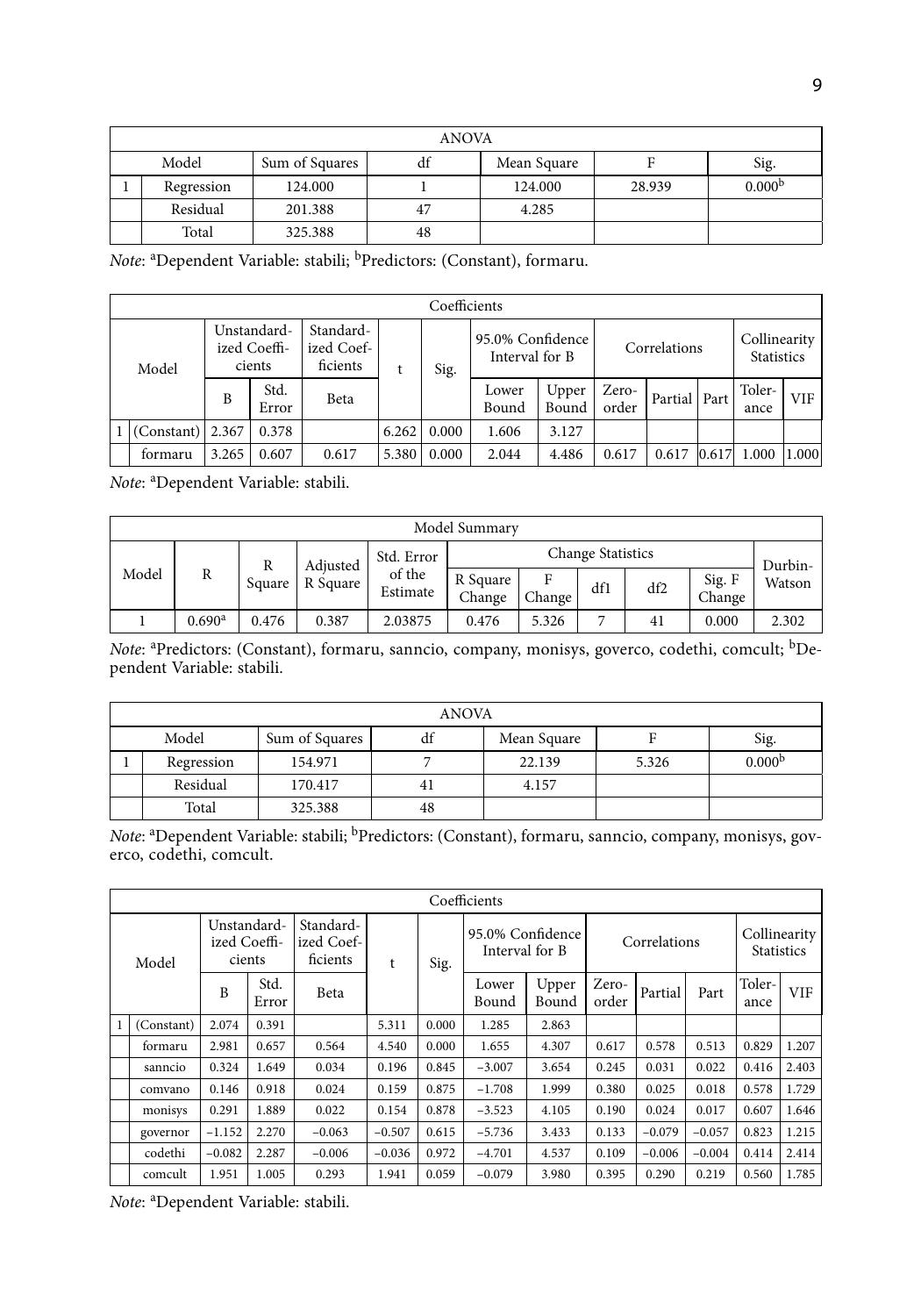|                                                      |         | ANOVA |         |        |                    |  |  |  |  |  |  |  |
|------------------------------------------------------|---------|-------|---------|--------|--------------------|--|--|--|--|--|--|--|
| Model<br>Sum of Squares<br>df<br>Mean Square<br>Sig. |         |       |         |        |                    |  |  |  |  |  |  |  |
| Regression                                           | 124.000 |       | 124.000 | 28.939 | 0.000 <sup>b</sup> |  |  |  |  |  |  |  |
| Residual                                             | 201.388 | 47    | 4.285   |        |                    |  |  |  |  |  |  |  |
| Total<br>325.388<br>48                               |         |       |         |        |                    |  |  |  |  |  |  |  |

*Note*: <sup>a</sup> Dependent Variable: stabili; bPredictors: (Constant), formaru.

|            |       |                                       |                                     |       | Coefficients |                                    |                |                |                |       |                                   |       |
|------------|-------|---------------------------------------|-------------------------------------|-------|--------------|------------------------------------|----------------|----------------|----------------|-------|-----------------------------------|-------|
| Model      |       | Unstandard-<br>ized Coeffi-<br>cients | Standard-<br>ized Coef-<br>ficients |       | Sig.         | 95.0% Confidence<br>Interval for B |                |                | Correlations   |       | Collinearity<br><b>Statistics</b> |       |
|            | B     | Std.<br>Error                         | Beta                                |       |              | Lower<br>Bound                     | Upper<br>Bound | Zero-<br>order | Partial   Part |       | Toler-<br>ance                    | VIF   |
| (Constant) | 2.367 | 0.378                                 |                                     | 6.262 | 0.000        | 1.606                              | 3.127          |                |                |       |                                   |       |
| formaru    | 3.265 | 0.607                                 | 0.617                               | 5.380 | 0.000        | 2.044                              | 4.486          | 0.617          | 0.617          | 0.617 | 1.000                             | 1.000 |

*Note*: <sup>a</sup> Dependent Variable: stabili.

|       |                    |        |          |                    | Model Summary      |             |                          |     |                  |         |
|-------|--------------------|--------|----------|--------------------|--------------------|-------------|--------------------------|-----|------------------|---------|
|       |                    | R      | Adiusted | Std. Error         |                    |             | <b>Change Statistics</b> |     |                  | Durbin- |
| Model | R                  | Square | R Square | of the<br>Estimate | R Square<br>Change | F<br>Change | df1                      | df2 | Sig. F<br>Change | Watson  |
|       | 0.690 <sup>a</sup> | 0.476  | 0.387    | 2.03875            | 0.476              | 5.326       | ∍                        | 41  | 0.000            | 2.302   |

*Note*: <sup>a</sup> Predictors: (Constant), formaru, sanncio, company, monisys, goverco, codethi, comcult; bDependent Variable: stabili.

|       | <b>ANOVA</b> |                |    |             |       |                    |  |  |  |  |  |  |
|-------|--------------|----------------|----|-------------|-------|--------------------|--|--|--|--|--|--|
| Model |              | Sum of Squares | df | Mean Square |       | Sig.               |  |  |  |  |  |  |
|       | Regression   | 154.971        |    | 22.139      | 5.326 | 0.000 <sup>b</sup> |  |  |  |  |  |  |
|       | Residual     | 170.417        | 41 | 4.157       |       |                    |  |  |  |  |  |  |
|       | Total        | 325.388        | 48 |             |       |                    |  |  |  |  |  |  |

*Note*: <sup>a</sup> Dependent Variable: stabili; bPredictors: (Constant), formaru, sanncio, company, monisys, goverco, codethi, comcult.

|              |            |                                       |               |                                     |          |       | Coefficients                       |                |                |          |          |                                   |            |
|--------------|------------|---------------------------------------|---------------|-------------------------------------|----------|-------|------------------------------------|----------------|----------------|----------|----------|-----------------------------------|------------|
|              | Model      | Unstandard-<br>ized Coeffi-<br>cients |               | Standard-<br>ized Coef-<br>ficients | t        | Sig.  | 95.0% Confidence<br>Interval for B |                | Correlations   |          |          | Collinearity<br><b>Statistics</b> |            |
|              |            | B                                     | Std.<br>Error | Beta                                |          |       | Lower<br>Bound                     | Upper<br>Bound | Zero-<br>order | Partial  | Part     | Toler-<br>ance                    | <b>VIF</b> |
| $\mathbf{1}$ | (Constant) | 2.074                                 | 0.391         |                                     | 5.311    | 0.000 | 1.285                              | 2.863          |                |          |          |                                   |            |
|              | formaru    | 2.981                                 | 0.657         | 0.564                               | 4.540    | 0.000 | 1.655                              | 4.307          | 0.617          | 0.578    | 0.513    | 0.829                             | 1.207      |
|              | sanncio    | 0.324                                 | 1.649         | 0.034                               | 0.196    | 0.845 | $-3.007$                           | 3.654          | 0.245          | 0.031    | 0.022    | 0.416                             | 2.403      |
|              | comvano    | 0.146                                 | 0.918         | 0.024                               | 0.159    | 0.875 | $-1.708$                           | 1.999          | 0.380          | 0.025    | 0.018    | 0.578                             | 1.729      |
|              | monisys    | 0.291                                 | 1.889         | 0.022                               | 0.154    | 0.878 | $-3.523$                           | 4.105          | 0.190          | 0.024    | 0.017    | 0.607                             | 1.646      |
|              | governor   | $-1.152$                              | 2.270         | $-0.063$                            | $-0.507$ | 0.615 | $-5.736$                           | 3.433          | 0.133          | $-0.079$ | $-0.057$ | 0.823                             | 1.215      |
|              | codethi    | $-0.082$                              | 2.287         | $-0.006$                            | $-0.036$ | 0.972 | $-4.701$                           | 4.537          | 0.109          | $-0.006$ | $-0.004$ | 0.414                             | 2.414      |
|              | comcult    | 1.951                                 | 1.005         | 0.293                               | 1.941    | 0.059 | $-0.079$                           | 3.980          | 0.395          | 0.290    | 0.219    | 0.560                             | 1.785      |

*Note*: <sup>a</sup> Dependent Variable: stabili.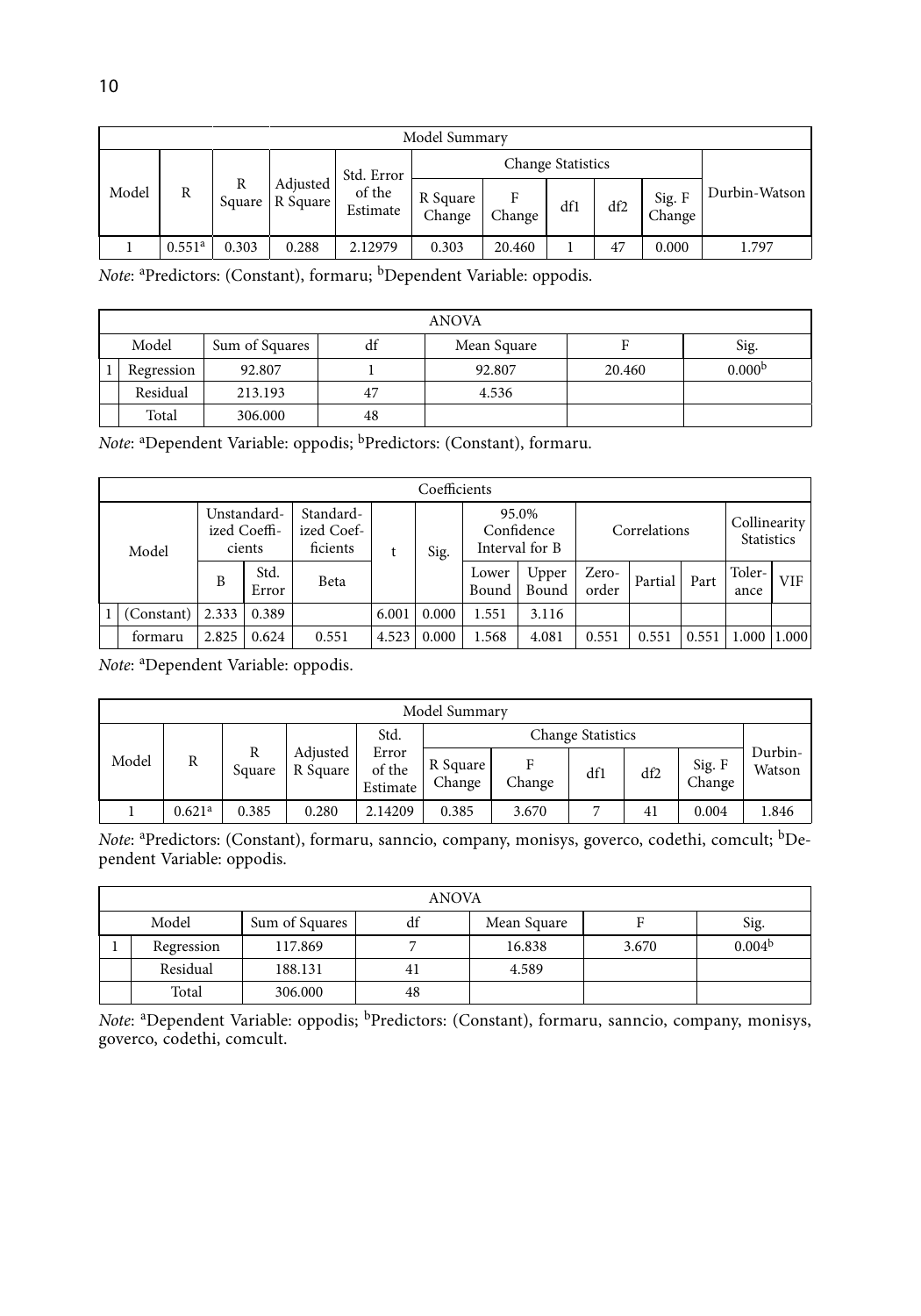|       | Model Summary      |       |                               |                                  |                    |        |     |     |                  |               |  |  |
|-------|--------------------|-------|-------------------------------|----------------------------------|--------------------|--------|-----|-----|------------------|---------------|--|--|
| Model |                    |       | Adjusted<br>Square   R Square | Std. Error<br>of the<br>Estimate |                    |        |     |     |                  |               |  |  |
|       | R                  | R     |                               |                                  | R Square<br>Change | Change | df1 | df2 | Sig. F<br>Change | Durbin-Watson |  |  |
|       | 0.551 <sup>a</sup> | 0.303 | 0.288                         | 2.12979                          | 0.303              | 20.460 |     | 47  | 0.000            | 1.797         |  |  |

*Note*: <sup>a</sup>Predictors: (Constant), formaru; <sup>b</sup>Dependent Variable: oppodis.

|       | ANOVA      |                |    |             |        |                    |  |  |  |  |  |  |
|-------|------------|----------------|----|-------------|--------|--------------------|--|--|--|--|--|--|
| Model |            | Sum of Squares | df | Mean Square |        | Sig.               |  |  |  |  |  |  |
|       | Regression | 92.807         |    | 92.807      | 20.460 | 0.000 <sup>b</sup> |  |  |  |  |  |  |
|       | Residual   | 213.193        | 47 | 4.536       |        |                    |  |  |  |  |  |  |
|       | Total      | 306.000        | 48 |             |        |                    |  |  |  |  |  |  |

*Note*: <sup>a</sup> Dependent Variable: oppodis; bPredictors: (Constant), formaru.

|  | Coefficients |                                       |               |                                     |       |       |                                       |                |                |         |       |                                   |       |
|--|--------------|---------------------------------------|---------------|-------------------------------------|-------|-------|---------------------------------------|----------------|----------------|---------|-------|-----------------------------------|-------|
|  | Model        | Unstandard-<br>ized Coeffi-<br>cients |               | Standard-<br>ized Coef-<br>ficients |       | Sig.  | 95.0%<br>Confidence<br>Interval for B |                | Correlations   |         |       | Collinearity<br><b>Statistics</b> |       |
|  |              | B                                     | Std.<br>Error | Beta                                |       |       | Lower<br>Bound                        | Upper<br>Bound | Zero-<br>order | Partial | Part  | Toler-<br>ance                    | VIF.  |
|  | (Constant)   | 2.333                                 | 0.389         |                                     | 6.001 | 0.000 | 1.551                                 | 3.116          |                |         |       |                                   |       |
|  | formaru      | 2.825                                 | 0.624         | 0.551                               | 4.523 | 0.000 | 1.568                                 | 4.081          | 0.551          | 0.551   | 0.551 | 1.000                             | 1.000 |

*Note*: <sup>a</sup> Dependent Variable: oppodis.

| Model Summary |                    |             |                      |                             |                    |             |     |     |                  |                   |  |  |
|---------------|--------------------|-------------|----------------------|-----------------------------|--------------------|-------------|-----|-----|------------------|-------------------|--|--|
| Model         | R                  | R<br>Square | Adjusted<br>R Square | Std.                        |                    |             |     |     |                  |                   |  |  |
|               |                    |             |                      | Error<br>of the<br>Estimate | R Square<br>Change | Е<br>Change | df1 | df2 | Sig. F<br>Change | Durbin-<br>Watson |  |  |
|               | 0.621 <sup>a</sup> | 0.385       | 0.280                | 2.14209                     | 0.385              | 3.670       |     | 41  | 0.004            | 1.846             |  |  |

*Note*: <sup>a</sup> Predictors: (Constant), formaru, sanncio, company, monisys, goverco, codethi, comcult; bDependent Variable: oppodis.

|       | <b>ANOVA</b> |                      |    |             |       |                    |  |  |  |  |  |
|-------|--------------|----------------------|----|-------------|-------|--------------------|--|--|--|--|--|
| Model |              | Sum of Squares<br>đt |    | Mean Square |       | Sig.               |  |  |  |  |  |
|       | Regression   | 117.869              |    | 16.838      | 3.670 | 0.004 <sup>b</sup> |  |  |  |  |  |
|       | Residual     | 188.131              |    | 4.589       |       |                    |  |  |  |  |  |
|       | Total        | 306.000              | 48 |             |       |                    |  |  |  |  |  |

*Note*: <sup>a</sup>Dependent Variable: oppodis; <sup>b</sup>Predictors: (Constant), formaru, sanncio, company, monisys, goverco, codethi, comcult.